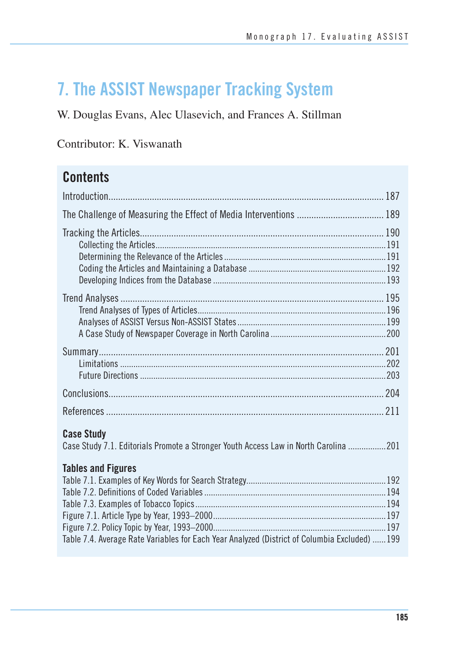# **7. The ASSIST Newspaper Tracking System**

### W. Douglas Evans, Alec Ulasevich, and Frances A. Stillman

### Contributor: K. Viswanath

## **Contents**

| <b>Case Study</b><br>Case Study 7.1. Editorials Promote a Stronger Youth Access Law in North Carolina 201                  |  |
|----------------------------------------------------------------------------------------------------------------------------|--|
| <b>Tables and Figures</b><br>Table 7.4. Average Rate Variables for Each Year Analyzed (District of Columbia Excluded)  199 |  |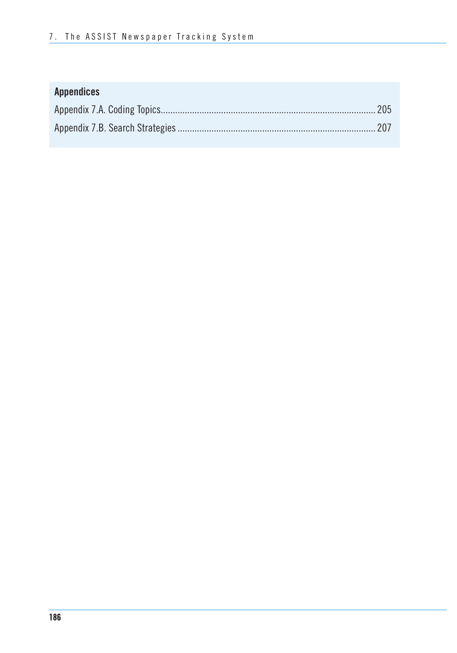### **Appendices**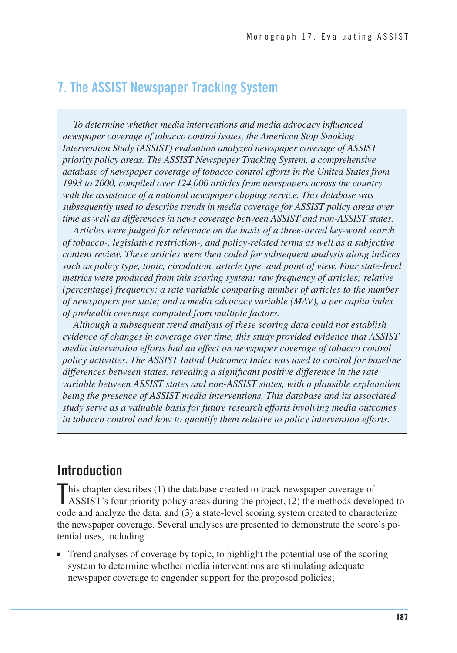### **7. The ASSIST Newspaper Tracking System**

 *To determine whether media interventions and media advocacy influenced newspaper coverage of tobacco control issues, the American Stop Smoking Intervention Study (ASSIST) evaluation analyzed newspaper coverage of ASSIST priority policy areas. The ASSIST Newspaper Tracking System, a comprehensive database of newspaper coverage of tobacco control efforts in the United States from 1993 to 2000, compiled over 124,000 articles from newspapers across the country with the assistance of a national newspaper clipping service. This database was subsequently used to describe trends in media coverage for ASSIST policy areas over time as well as differences in news coverage between ASSIST and non-ASSIST states.* 

*Articles were judged for relevance on the basis of a three-tiered key-word search of tobacco-, legislative restriction-, and policy-related terms as well as a subjective content review. These articles were then coded for subsequent analysis along indices such as policy type, topic, circulation, article type, and point of view. Four state-level metrics were produced from this scoring system: raw frequency of articles; relative (percentage) frequency; a rate variable comparing number of articles to the number of newspapers per state; and a media advocacy variable (MAV), a per capita index of prohealth coverage computed from multiple factors.* 

*Although a subsequent trend analysis of these scoring data could not establish evidence of changes in coverage over time, this study provided evidence that ASSIST media intervention efforts had an effect on newspaper coverage of tobacco control policy activities. The ASSIST Initial Outcomes Index was used to control for baseline differences between states, revealing a significant positive difference in the rate variable between ASSIST states and non-ASSIST states, with a plausible explanation being the presence of ASSIST media interventions. This database and its associated study serve as a valuable basis for future research efforts involving media outcomes in tobacco control and how to quantify them relative to policy intervention efforts.* 

### **Introduction**

This chapter describes (1) the database created to track newspaper coverage of ASSIST's four priority policy areas during the project, (2) the methods developed to  $\blacksquare$  his chapter describes (1) the database created to track newspaper coverage of code and analyze the data, and (3) a state-level scoring system created to characterize the newspaper coverage. Several analyses are presented to demonstrate the score's potential uses, including

■ Trend analyses of coverage by topic, to highlight the potential use of the scoring system to determine whether media interventions are stimulating adequate newspaper coverage to engender support for the proposed policies;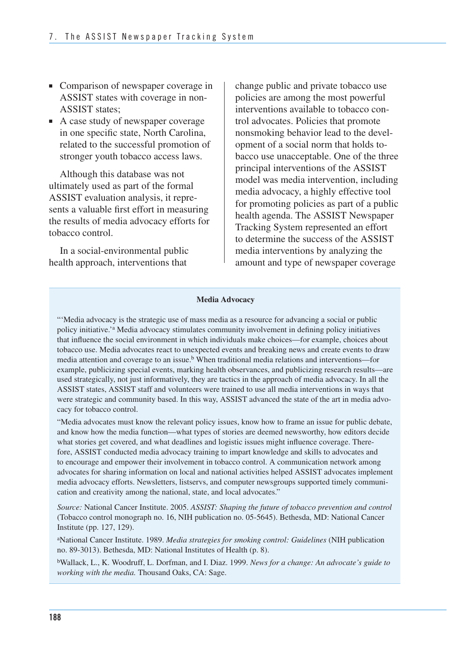- Comparison of newspaper coverage in ASSIST states with coverage in non-ASSIST states;
- A case study of newspaper coverage in one specific state, North Carolina, related to the successful promotion of stronger youth tobacco access laws.

Although this database was not ultimately used as part of the formal ASSIST evaluation analysis, it represents a valuable first effort in measuring the results of media advocacy efforts for tobacco control.

In a social-environmental public health approach, interventions that

change public and private tobacco use policies are among the most powerful interventions available to tobacco control advocates. Policies that promote nonsmoking behavior lead to the development of a social norm that holds tobacco use unacceptable. One of the three principal interventions of the ASSIST model was media intervention, including media advocacy, a highly effective tool for promoting policies as part of a public health agenda. The ASSIST Newspaper Tracking System represented an effort to determine the success of the ASSIST media interventions by analyzing the amount and type of newspaper coverage

#### **Media Advocacy**

"'Media advocacy is the strategic use of mass media as a resource for advancing a social or public policy initiative.'a Media advocacy stimulates community involvement in defining policy initiatives that influence the social environment in which individuals make choices—for example, choices about tobacco use. Media advocates react to unexpected events and breaking news and create events to draw media attention and coverage to an issue.<sup>b</sup> When traditional media relations and interventions—for example, publicizing special events, marking health observances, and publicizing research results—are used strategically, not just informatively, they are tactics in the approach of media advocacy. In all the ASSIST states, ASSIST staff and volunteers were trained to use all media interventions in ways that were strategic and community based. In this way, ASSIST advanced the state of the art in media advocacy for tobacco control.

"Media advocates must know the relevant policy issues, know how to frame an issue for public debate, and know how the media function—what types of stories are deemed newsworthy, how editors decide what stories get covered, and what deadlines and logistic issues might influence coverage. Therefore, ASSIST conducted media advocacy training to impart knowledge and skills to advocates and to encourage and empower their involvement in tobacco control. A communication network among advocates for sharing information on local and national activities helped ASSIST advocates implement media advocacy efforts. Newsletters, listservs, and computer newsgroups supported timely communication and creativity among the national, state, and local advocates."

*Source:* National Cancer Institute. 2005. *ASSIST: Shaping the future of tobacco prevention and control*  (Tobacco control monograph no. 16, NIH publication no. 05-5645). Bethesda, MD: National Cancer Institute (pp. 127, 129).

aNational Cancer Institute. 1989. *Media strategies for smoking control: Guidelines* (NIH publication no. 89-3013). Bethesda, MD: National Institutes of Health (p. 8).

bWallack, L., K. Woodruff, L. Dorfman, and I. Diaz. 1999. *News for a change: An advocate's guide to working with the media.* Thousand Oaks, CA: Sage.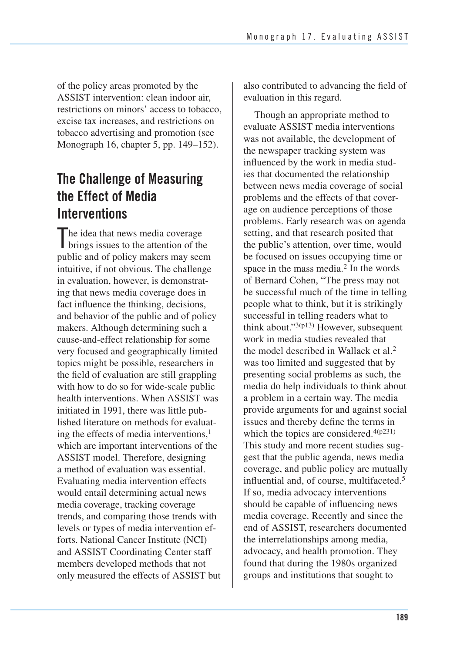of the policy areas promoted by the ASSIST intervention: clean indoor air, restrictions on minors' access to tobacco, excise tax increases, and restrictions on tobacco advertising and promotion (see Monograph 16, chapter 5, pp. 149–152).

### **The Challenge of Measuring the Effect of Media Interventions**

The idea that news media coverage<br>brings issues to the attention of the brings issues to the attention of the public and of policy makers may seem intuitive, if not obvious. The challenge in evaluation, however, is demonstrating that news media coverage does in fact influence the thinking, decisions, and behavior of the public and of policy makers. Although determining such a cause-and-effect relationship for some very focused and geographically limited topics might be possible, researchers in the field of evaluation are still grappling with how to do so for wide-scale public health interventions. When ASSIST was initiated in 1991, there was little published literature on methods for evaluating the effects of media interventions, $<sup>1</sup>$ </sup> which are important interventions of the ASSIST model. Therefore, designing a method of evaluation was essential. Evaluating media intervention effects would entail determining actual news media coverage, tracking coverage trends, and comparing those trends with levels or types of media intervention efforts. National Cancer Institute (NCI) and ASSIST Coordinating Center staff members developed methods that not only measured the effects of ASSIST but also contributed to advancing the field of evaluation in this regard.

 Though an appropriate method to evaluate ASSIST media interventions was not available, the development of the newspaper tracking system was influenced by the work in media stud- ies that documented the relationship between news media coverage of social problems and the effects of that cover- age on audience perceptions of those problems. Early research was on agenda setting, and that research posited that the public's attention, over time, would be focused on issues occupying time or space in the mass media.<sup>2</sup> In the words of Bernard Cohen, "The press may not be successful much of the time in telling people what to think, but it is strikingly successful in telling readers what to think about." $3(p13)$  However, subsequent work in media studies revealed that the model described in Wallack et al.2 was too limited and suggested that by presenting social problems as such, the media do help individuals to think about a problem in a certain way. The media provide arguments for and against social issues and thereby define the terms in which the topics are considered. $4(p231)$  This study and more recent studies sug- gest that the public agenda, news media coverage, and public policy are mutually influential and, of course, multifaceted.<sup>5</sup> If so, media advocacy interventions should be capable of influencing news media coverage. Recently and since the end of ASSIST, researchers documented the interrelationships among media, advocacy, and health promotion. They found that during the 1980s organized groups and institutions that sought to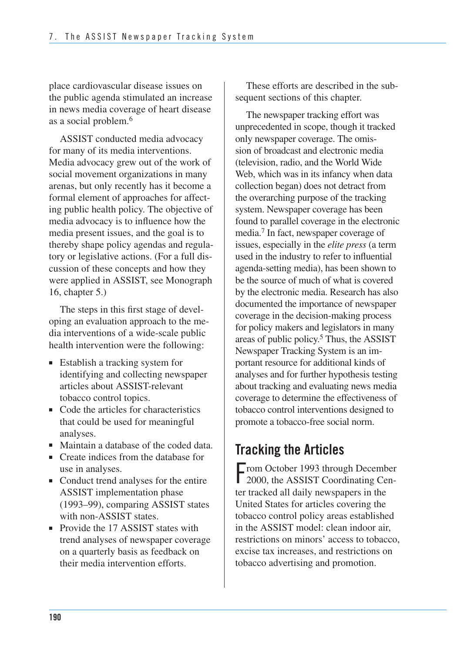place cardiovascular disease issues on the public agenda stimulated an increase in news media coverage of heart disease as a social problem.6

ASSIST conducted media advocacy for many of its media interventions. Media advocacy grew out of the work of social movement organizations in many arenas, but only recently has it become a formal element of approaches for affecting public health policy. The objective of media advocacy is to influence how the media present issues, and the goal is to thereby shape policy agendas and regulatory or legislative actions. (For a full discussion of these concepts and how they were applied in ASSIST, see Monograph 16, chapter 5.)

The steps in this first stage of developing an evaluation approach to the media interventions of a wide-scale public health intervention were the following:

- Establish a tracking system for identifying and collecting newspaper articles about ASSIST-relevant tobacco control topics.
- Code the articles for characteristics that could be used for meaningful analyses.
- Maintain a database of the coded data.
- Create indices from the database for use in analyses.
- Conduct trend analyses for the entire ASSIST implementation phase (1993–99), comparing ASSIST states with non-ASSIST states.
- Provide the 17 ASSIST states with trend analyses of newspaper coverage on a quarterly basis as feedback on their media intervention efforts.

These efforts are described in the subsequent sections of this chapter.

 unprecedented in scope, though it tracked only newspaper coverage. The omis- sion of broadcast and electronic media (television, radio, and the World Wide Web, which was in its infancy when data collection began) does not detract from the overarching purpose of the tracking system. Newspaper coverage has been found to parallel coverage in the electronic media.7 In fact, newspaper coverage of issues, especially in the *elite press* (a term used in the industry to refer to influential agenda-setting media), has been shown to be the source of much of what is covered by the electronic media. Research has also documented the importance of newspaper coverage in the decision-making process for policy makers and legislators in many areas of public policy.<sup>5</sup> Thus, the ASSIST Newspaper Tracking System is an im- portant resource for additional kinds of analyses and for further hypothesis testing about tracking and evaluating news media coverage to determine the effectiveness of tobacco control interventions designed to promote a tobacco-free social norm. The newspaper tracking effort was

## **Tracking the Articles**

From October 1993 through December<br>2000, the ASSIST Coordinating Cen-■ rom October 1993 through December ter tracked all daily newspapers in the United States for articles covering the tobacco control policy areas established in the ASSIST model: clean indoor air, restrictions on minors' access to tobacco, excise tax increases, and restrictions on tobacco advertising and promotion.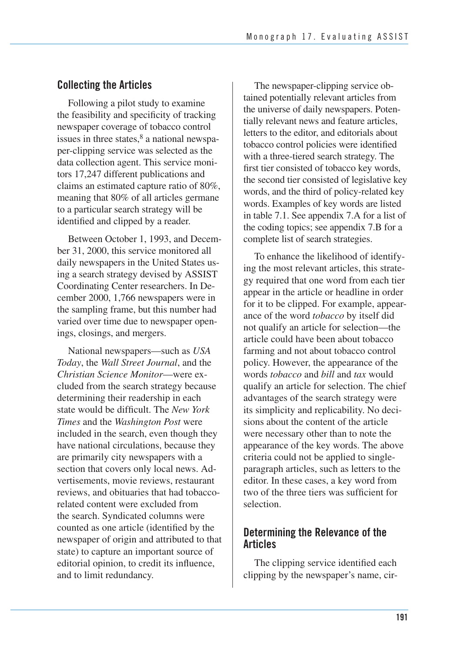### **Collecting the Articles**

 Following a pilot study to examine the feasibility and specificity of tracking newspaper coverage of tobacco control issues in three states, $8$  a national newspa per-clipping service was selected as the data collection agent. This service moni- tors 17,247 different publications and claims an estimated capture ratio of 80%, meaning that 80% of all articles germane to a particular search strategy will be identified and clipped by a reader.

 Between October 1, 1993, and Decem- ber 31, 2000, this service monitored all daily newspapers in the United States us- ing a search strategy devised by ASSIST Coordinating Center researchers. In De- cember 2000, 1,766 newspapers were in the sampling frame, but this number had varied over time due to newspaper open-ings, closings, and mergers.

National newspapers—such as *USA Today*, the *Wall Street Journal*, and the *Christian Science Monitor*—were excluded from the search strategy because determining their readership in each state would be difficult. The *New York Times* and the *Washington Post* were included in the search, even though they have national circulations, because they are primarily city newspapers with a section that covers only local news. Advertisements, movie reviews, restaurant reviews, and obituaries that had tobaccorelated content were excluded from the search. Syndicated columns were counted as one article (identified by the newspaper of origin and attributed to that state) to capture an important source of editorial opinion, to credit its influence, and to limit redundancy.

 The newspaper-clipping service ob- tained potentially relevant articles from the universe of daily newspapers. Poten- tially relevant news and feature articles, letters to the editor, and editorials about tobacco control policies were identified with a three-tiered search strategy. The first tier consisted of tobacco key words, the second tier consisted of legislative key words, and the third of policy-related key words. Examples of key words are listed in table 7.1. See appendix 7.A for a list of the coding topics; see appendix 7.B for a complete list of search strategies.

To enhance the likelihood of identifying the most relevant articles, this strategy required that one word from each tier appear in the article or headline in order for it to be clipped. For example, appearance of the word *tobacco* by itself did not qualify an article for selection—the article could have been about tobacco farming and not about tobacco control policy. However, the appearance of the words *tobacco* and *bill* and *tax* would qualify an article for selection. The chief advantages of the search strategy were its simplicity and replicability. No decisions about the content of the article were necessary other than to note the appearance of the key words. The above criteria could not be applied to singleparagraph articles, such as letters to the editor. In these cases, a key word from two of the three tiers was sufficient for selection.

#### **Determining the Relevance of the Articles**

The clipping service identified each clipping by the newspaper's name, cir-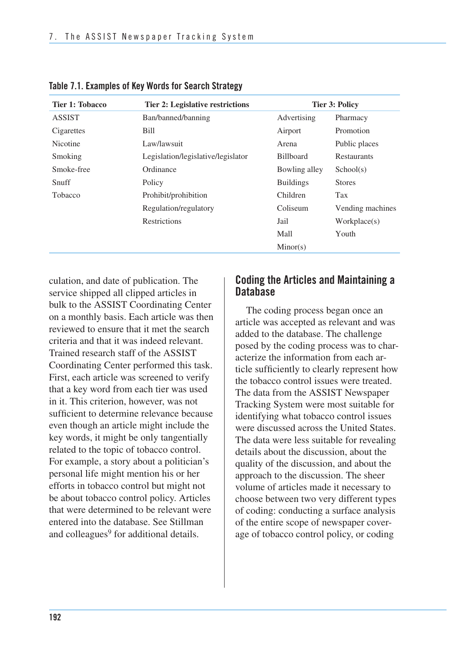| Tier 1: Tobacco | <b>Tier 2: Legislative restrictions</b> | <b>Tier 3: Policy</b> |                    |
|-----------------|-----------------------------------------|-----------------------|--------------------|
| <b>ASSIST</b>   | Ban/banned/banning                      | Advertising           | Pharmacy           |
| Cigarettes      | Bill                                    | Airport               | Promotion          |
| Nicotine        | Law/lawsuit                             | Arena                 | Public places      |
| Smoking         | Legislation/legislative/legislator      | <b>Billboard</b>      | <b>Restaurants</b> |
| Smoke-free      | Ordinance                               | Bowling alley         | School(s)          |
| Snuff           | Policy                                  | <b>Buildings</b>      | <b>Stores</b>      |
| <b>Tobacco</b>  | Prohibit/prohibition                    | Children              | Tax                |
|                 | Regulation/regulatory                   | Coliseum              | Vending machines   |
|                 | <b>Restrictions</b>                     | Jail                  | Workplace(s)       |
|                 |                                         | Mall                  | Youth              |
|                 |                                         | Minor(s)              |                    |

**Table 7.1. Examples of Key Words for Search Strategy** 

culation, and date of publication. The service shipped all clipped articles in bulk to the ASSIST Coordinating Center on a monthly basis. Each article was then reviewed to ensure that it met the search criteria and that it was indeed relevant. Trained research staff of the ASSIST Coordinating Center performed this task. First, each article was screened to verify that a key word from each tier was used in it. This criterion, however, was not sufficient to determine relevance because even though an article might include the key words, it might be only tangentially related to the topic of tobacco control. For example, a story about a politician's personal life might mention his or her efforts in tobacco control but might not be about tobacco control policy. Articles that were determined to be relevant were entered into the database. See Stillman and colleagues<sup>9</sup> for additional details.

#### **Coding the Articles and Maintaining a Database**

The coding process began once an article was accepted as relevant and was added to the database. The challenge posed by the coding process was to characterize the information from each article sufficiently to clearly represent how the tobacco control issues were treated. The data from the ASSIST Newspaper Tracking System were most suitable for identifying what tobacco control issues were discussed across the United States. The data were less suitable for revealing details about the discussion, about the quality of the discussion, and about the approach to the discussion. The sheer volume of articles made it necessary to choose between two very different types of coding: conducting a surface analysis of the entire scope of newspaper coverage of tobacco control policy, or coding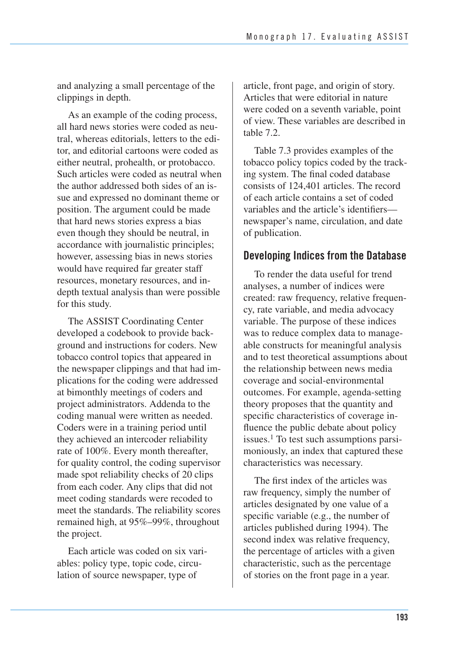and analyzing a small percentage of the clippings in depth.

As an example of the coding process, all hard news stories were coded as neutral, whereas editorials, letters to the editor, and editorial cartoons were coded as either neutral, prohealth, or protobacco. Such articles were coded as neutral when the author addressed both sides of an issue and expressed no dominant theme or position. The argument could be made that hard news stories express a bias even though they should be neutral, in accordance with journalistic principles; however, assessing bias in news stories would have required far greater staff resources, monetary resources, and indepth textual analysis than were possible for this study.

The ASSIST Coordinating Center developed a codebook to provide background and instructions for coders. New tobacco control topics that appeared in the newspaper clippings and that had implications for the coding were addressed at bimonthly meetings of coders and project administrators. Addenda to the coding manual were written as needed. Coders were in a training period until they achieved an intercoder reliability rate of 100%. Every month thereafter, for quality control, the coding supervisor made spot reliability checks of 20 clips from each coder. Any clips that did not meet coding standards were recoded to meet the standards. The reliability scores remained high, at 95%–99%, throughout the project.

Each article was coded on six variables: policy type, topic code, circulation of source newspaper, type of

article, front page, and origin of story. Articles that were editorial in nature were coded on a seventh variable, point of view. These variables are described in table 7.2.

Table 7.3 provides examples of the tobacco policy topics coded by the tracking system. The final coded database consists of 124,401 articles. The record of each article contains a set of coded variables and the article's identifiers newspaper's name, circulation, and date of publication.

#### **Developing Indices from the Database**

 To render the data useful for trend analyses, a number of indices were created: raw frequency, relative frequen- cy, rate variable, and media advocacy variable. The purpose of these indices was to reduce complex data to manage able constructs for meaningful analysis and to test theoretical assumptions about the relationship between news media coverage and social-environmental outcomes. For example, agenda-setting theory proposes that the quantity and specific characteristics of coverage in- fluence the public debate about policy issues.<sup>1</sup> To test such assumptions parsi- moniously, an index that captured these characteristics was necessary.

The first index of the articles was raw frequency, simply the number of articles designated by one value of a specific variable (e.g., the number of articles published during 1994). The second index was relative frequency, the percentage of articles with a given characteristic, such as the percentage of stories on the front page in a year.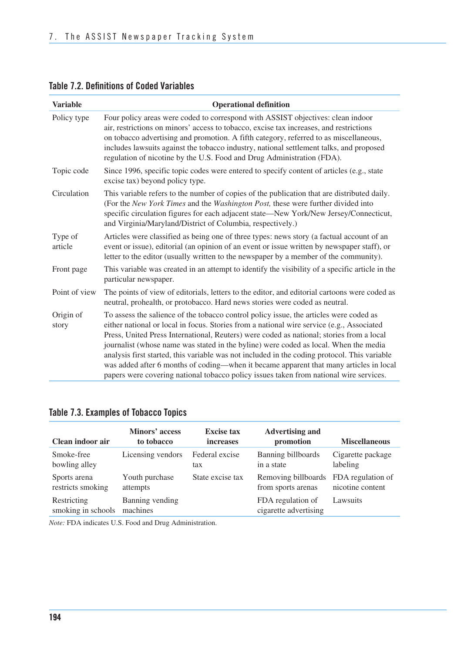| <b>Variable</b>    | <b>Operational definition</b>                                                                                                                                                                                                                                                                                                                                                                                                                                                                                                                                                                                                                               |
|--------------------|-------------------------------------------------------------------------------------------------------------------------------------------------------------------------------------------------------------------------------------------------------------------------------------------------------------------------------------------------------------------------------------------------------------------------------------------------------------------------------------------------------------------------------------------------------------------------------------------------------------------------------------------------------------|
| Policy type        | Four policy areas were coded to correspond with ASSIST objectives: clean indoor<br>air, restrictions on minors' access to tobacco, excise tax increases, and restrictions<br>on tobacco advertising and promotion. A fifth category, referred to as miscellaneous,<br>includes lawsuits against the tobacco industry, national settlement talks, and proposed<br>regulation of nicotine by the U.S. Food and Drug Administration (FDA).                                                                                                                                                                                                                     |
| Topic code         | Since 1996, specific topic codes were entered to specify content of articles (e.g., state<br>excise tax) beyond policy type.                                                                                                                                                                                                                                                                                                                                                                                                                                                                                                                                |
| Circulation        | This variable refers to the number of copies of the publication that are distributed daily.<br>(For the New York Times and the Washington Post, these were further divided into<br>specific circulation figures for each adjacent state-New York/New Jersey/Connecticut,<br>and Virginia/Maryland/District of Columbia, respectively.)                                                                                                                                                                                                                                                                                                                      |
| Type of<br>article | Articles were classified as being one of three types: news story (a factual account of an<br>event or issue), editorial (an opinion of an event or issue written by newspaper staff), or<br>letter to the editor (usually written to the newspaper by a member of the community).                                                                                                                                                                                                                                                                                                                                                                           |
| Front page         | This variable was created in an attempt to identify the visibility of a specific article in the<br>particular newspaper.                                                                                                                                                                                                                                                                                                                                                                                                                                                                                                                                    |
| Point of view      | The points of view of editorials, letters to the editor, and editorial cartoons were coded as<br>neutral, prohealth, or protobacco. Hard news stories were coded as neutral.                                                                                                                                                                                                                                                                                                                                                                                                                                                                                |
| Origin of<br>story | To assess the salience of the tobacco control policy issue, the articles were coded as<br>either national or local in focus. Stories from a national wire service (e.g., Associated<br>Press, United Press International, Reuters) were coded as national; stories from a local<br>journalist (whose name was stated in the byline) were coded as local. When the media<br>analysis first started, this variable was not included in the coding protocol. This variable<br>was added after 6 months of coding—when it became apparent that many articles in local<br>papers were covering national tobacco policy issues taken from national wire services. |

#### **Table 7.2. Definitions of Coded Variables**

#### **Table 7.3. Examples of Tobacco Topics**

| Clean indoor air                  | Minors' access<br>to tobacco | <b>Excise tax</b><br><i>increases</i> | <b>Advertising and</b><br>promotion        | <b>Miscellaneous</b> |
|-----------------------------------|------------------------------|---------------------------------------|--------------------------------------------|----------------------|
| Smoke-free                        | Licensing vendors            | Federal excise                        | Banning billboards                         | Cigarette package    |
| bowling alley                     |                              | tax                                   | in a state                                 | labeling             |
| Sports arena                      | Youth purchase               | State excise tax                      | Removing billboards                        | FDA regulation of    |
| restricts smoking                 | attempts                     |                                       | from sports arenas                         | nicotine content     |
| Restricting<br>smoking in schools | Banning vending<br>machines  |                                       | FDA regulation of<br>cigarette advertising | Lawsuits             |

*Note:* FDA indicates U.S. Food and Drug Administration.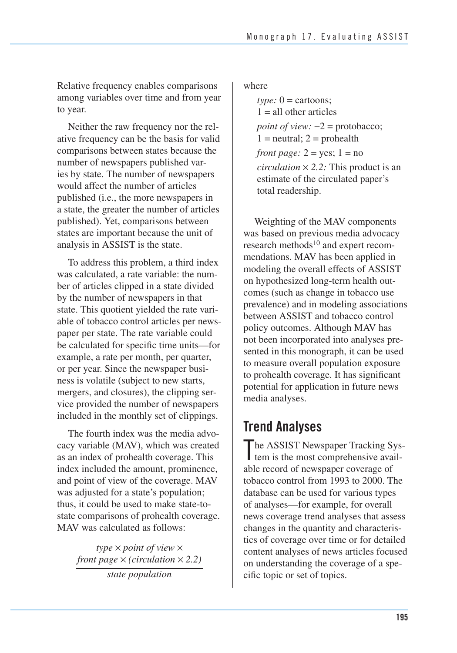Relative frequency enables comparisons among variables over time and from year to year.

Neither the raw frequency nor the relative frequency can be the basis for valid comparisons between states because the number of newspapers published varies by state. The number of newspapers would affect the number of articles published (i.e., the more newspapers in a state, the greater the number of articles published). Yet, comparisons between states are important because the unit of analysis in ASSIST is the state.

To address this problem, a third index was calculated, a rate variable: the number of articles clipped in a state divided by the number of newspapers in that state. This quotient yielded the rate variable of tobacco control articles per newspaper per state. The rate variable could be calculated for specific time units—for example, a rate per month, per quarter, or per year. Since the newspaper business is volatile (subject to new starts, mergers, and closures), the clipping service provided the number of newspapers included in the monthly set of clippings.

The fourth index was the media advocacy variable (MAV), which was created as an index of prohealth coverage. This index included the amount, prominence, and point of view of the coverage. MAV was adjusted for a state's population; thus, it could be used to make state-tostate comparisons of prohealth coverage. MAV was calculated as follows:

> *type* × *point of view* × *front page*  $\times$  *(circulation*  $\times$  2.2) *state population*

where

 *circulation* × *2.2:* This product is an *type:*  $0 =$  cartoons:  $1 =$  all other articles *point of view:*  $-2$  = protobacco;  $1 =$  neutral;  $2 =$  prohealth *front page:*  $2 = yes$ ;  $1 = no$ estimate of the circulated paper's total readership.

Weighting of the MAV components was based on previous media advocacy research methods $10$  and expert recommendations. MAV has been applied in modeling the overall effects of ASSIST on hypothesized long-term health outcomes (such as change in tobacco use prevalence) and in modeling associations between ASSIST and tobacco control policy outcomes. Although MAV has not been incorporated into analyses presented in this monograph, it can be used to measure overall population exposure to prohealth coverage. It has significant potential for application in future news media analyses.

## **Trend Analyses**

The ASSIST Newspaper Tracking System is the most comprehensive avail-I tem is the most comprehensive available record of newspaper coverage of tobacco control from 1993 to 2000. The database can be used for various types of analyses—for example, for overall news coverage trend analyses that assess changes in the quantity and characteristics of coverage over time or for detailed content analyses of news articles focused on understanding the coverage of a specific topic or set of topics.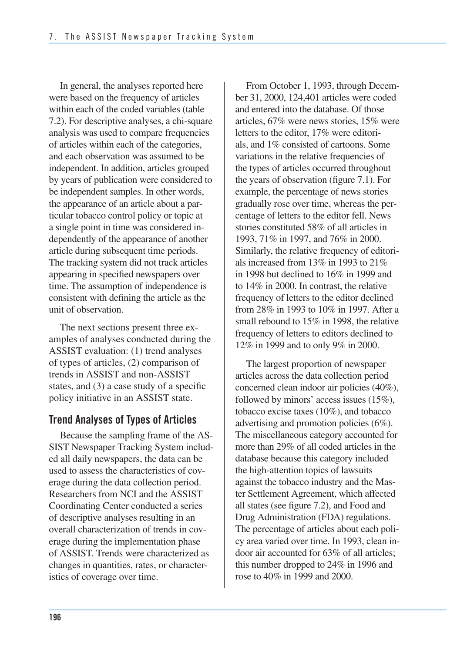In general, the analyses reported here were based on the frequency of articles within each of the coded variables (table 7.2). For descriptive analyses, a chi-square analysis was used to compare frequencies of articles within each of the categories, and each observation was assumed to be independent. In addition, articles grouped by years of publication were considered to be independent samples. In other words, the appearance of an article about a par- ticular tobacco control policy or topic at a single point in time was considered in- dependently of the appearance of another article during subsequent time periods. The tracking system did not track articles appearing in specified newspapers over time. The assumption of independence is consistent with defining the article as the unit of observation.

The next sections present three examples of analyses conducted during the ASSIST evaluation: (1) trend analyses of types of articles, (2) comparison of trends in ASSIST and non-ASSIST states, and (3) a case study of a specific policy initiative in an ASSIST state.

#### **Trend Analyses of Types of Articles**

Because the sampling frame of the AS SIST Newspaper Tracking System includ- ed all daily newspapers, the data can be used to assess the characteristics of cov- erage during the data collection period. Researchers from NCI and the ASSIST Coordinating Center conducted a series of descriptive analyses resulting in an overall characterization of trends in cov- erage during the implementation phase of ASSIST. Trends were characterized as changes in quantities, rates, or character-istics of coverage over time.

 From October 1, 1993, through Decem- ber 31, 2000, 124,401 articles were coded and entered into the database. Of those articles, 67% were news stories, 15% were letters to the editor, 17% were editori- als, and 1% consisted of cartoons. Some variations in the relative frequencies of the types of articles occurred throughout the years of observation (figure 7.1). For example, the percentage of news stories gradually rose over time, whereas the per- centage of letters to the editor fell. News stories constituted 58% of all articles in 1993, 71% in 1997, and 76% in 2000. Similarly, the relative frequency of editori- als increased from 13% in 1993 to 21% in 1998 but declined to 16% in 1999 and to 14% in 2000. In contrast, the relative frequency of letters to the editor declined from 28% in 1993 to 10% in 1997. After a small rebound to 15% in 1998, the relative frequency of letters to editors declined to 12% in 1999 and to only 9% in 2000.

 The largest proportion of newspaper articles across the data collection period concerned clean indoor air policies (40%), followed by minors' access issues (15%), tobacco excise taxes (10%), and tobacco advertising and promotion policies (6%). The miscellaneous category accounted for more than 29% of all coded articles in the database because this category included the high-attention topics of lawsuits against the tobacco industry and the Mas- ter Settlement Agreement, which affected all states (see figure 7.2), and Food and Drug Administration (FDA) regulations. The percentage of articles about each poli- cy area varied over time. In 1993, clean in- door air accounted for 63% of all articles; this number dropped to 24% in 1996 and rose to 40% in 1999 and 2000.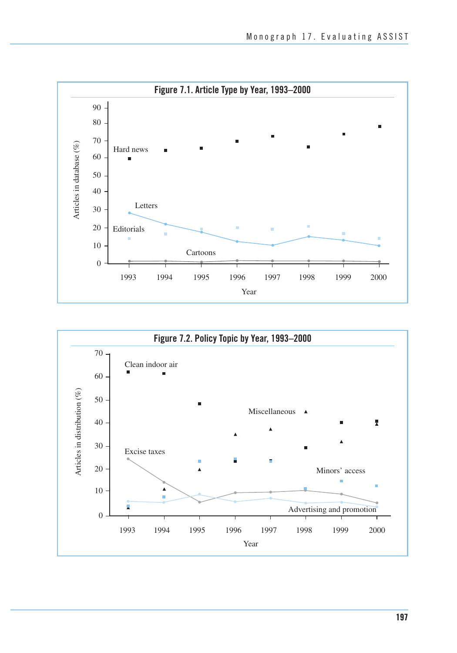

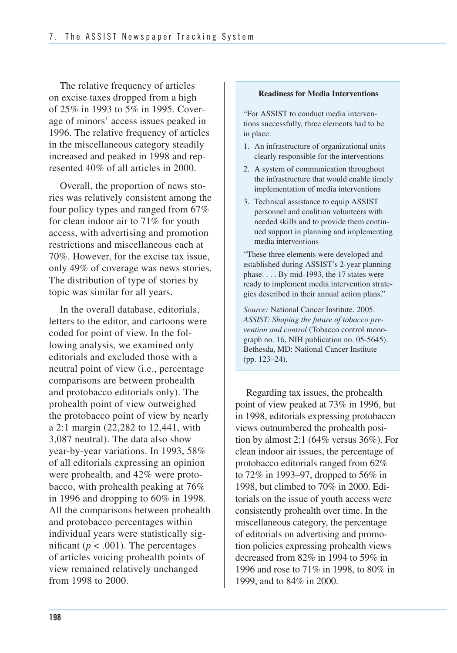The relative frequency of articles on excise taxes dropped from a high of 25% in 1993 to 5% in 1995. Cover- age of minors' access issues peaked in 1996. The relative frequency of articles in the miscellaneous category steadily increased and peaked in 1998 and rep-resented 40% of all articles in 2000.

 Overall, the proportion of news sto- ries was relatively consistent among the four policy types and ranged from 67% for clean indoor air to 71% for youth access, with advertising and promotion restrictions and miscellaneous each at 70%. However, for the excise tax issue, only 49% of coverage was news stories. The distribution of type of stories by topic was similar for all years.

 In the overall database, editorials, letters to the editor, and cartoons were coded for point of view. In the fol- lowing analysis, we examined only editorials and excluded those with a neutral point of view (i.e., percentage comparisons are between prohealth and protobacco editorials only). The prohealth point of view outweighed the protobacco point of view by nearly a 2:1 margin (22,282 to 12,441, with 3,087 neutral). The data also show year-by-year variations. In 1993, 58% of all editorials expressing an opinion were prohealth, and 42% were proto- bacco, with prohealth peaking at 76% in 1996 and dropping to 60% in 1998. All the comparisons between prohealth and protobacco percentages within individual years were statistically significant ( $p < .001$ ). The percentages of articles voicing prohealth points of view remained relatively unchanged from 1998 to 2000.

#### **Readiness for Media Interventions**

"For ASSIST to conduct media interventions successfully, three elements had to be in place:

- 1. An infrastructure of organizational units clearly responsible for the interventions
- 2. A system of communication throughout the infrastructure that would enable timely implementation of media interventions
- 3. Technical assistance to equip ASSIST personnel and coalition volunteers with needed skills and to provide them continued support in planning and implementing media interventions

"These three elements were developed and established during ASSIST's 2-year planning phase. . . . By mid-1993, the 17 states were ready to implement media intervention strategies described in their annual action plans."

*Source:* National Cancer Institute. 2005. *ASSIST: Shaping the future of tobacco prevention and control* (Tobacco control monograph no. 16, NIH publication no. 05-5645). Bethesda, MD: National Cancer Institute (pp. 123–24).

 Regarding tax issues, the prohealth point of view peaked at 73% in 1996, but in 1998, editorials expressing protobacco views outnumbered the prohealth posi- tion by almost 2:1 (64% versus 36%). For clean indoor air issues, the percentage of protobacco editorials ranged from 62% to 72% in 1993–97, dropped to 56% in 1998, but climbed to 70% in 2000. Edi- torials on the issue of youth access were consistently prohealth over time. In the miscellaneous category, the percentage of editorials on advertising and promo- tion policies expressing prohealth views decreased from 82% in 1994 to 59% in 1996 and rose to 71% in 1998, to 80% in 1999, and to 84% in 2000.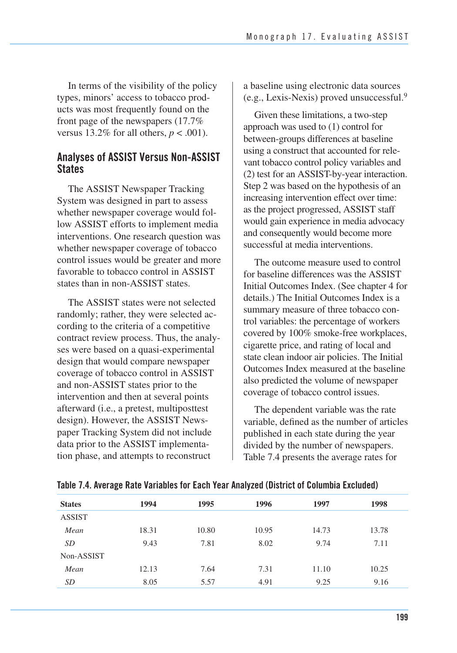In terms of the visibility of the policy types, minors' access to tobacco products was most frequently found on the front page of the newspapers (17.7% versus  $13.2\%$  for all others,  $p < .001$ ).

#### **Analyses of ASSIST Versus Non-ASSIST States**

The ASSIST Newspaper Tracking System was designed in part to assess whether newspaper coverage would follow ASSIST efforts to implement media interventions. One research question was whether newspaper coverage of tobacco control issues would be greater and more favorable to tobacco control in ASSIST states than in non-ASSIST states.

The ASSIST states were not selected randomly; rather, they were selected according to the criteria of a competitive contract review process. Thus, the analyses were based on a quasi-experimental design that would compare newspaper coverage of tobacco control in ASSIST and non-ASSIST states prior to the intervention and then at several points afterward (i.e., a pretest, multiposttest design). However, the ASSIST Newspaper Tracking System did not include data prior to the ASSIST implementation phase, and attempts to reconstruct

a baseline using electronic data sources (e.g., Lexis-Nexis) proved unsuccessful.9

 Given these limitations, a two-step approach was used to (1) control for between-groups differences at baseline using a construct that accounted for rele- vant tobacco control policy variables and (2) test for an ASSIST-by-year interaction. Step 2 was based on the hypothesis of an increasing intervention effect over time: as the project progressed, ASSIST staff would gain experience in media advocacy and consequently would become more successful at media interventions.

 The outcome measure used to control for baseline differences was the ASSIST Initial Outcomes Index. (See chapter 4 for details.) The Initial Outcomes Index is a summary measure of three tobacco con- trol variables: the percentage of workers covered by 100% smoke-free workplaces, cigarette price, and rating of local and state clean indoor air policies. The Initial Outcomes Index measured at the baseline also predicted the volume of newspaper coverage of tobacco control issues.

 The dependent variable was the rate variable, defined as the number of articles published in each state during the year divided by the number of newspapers. Table 7.4 presents the average rates for

| <b>States</b> | 1994  | 1995  | 1996  | 1997  | 1998  |
|---------------|-------|-------|-------|-------|-------|
| <b>ASSIST</b> |       |       |       |       |       |
| Mean          | 18.31 | 10.80 | 10.95 | 14.73 | 13.78 |
| SD            | 9.43  | 7.81  | 8.02  | 9.74  | 7.11  |
| Non-ASSIST    |       |       |       |       |       |
| Mean          | 12.13 | 7.64  | 7.31  | 11.10 | 10.25 |
| SD            | 8.05  | 5.57  | 4.91  | 9.25  | 9.16  |

**Table 7.4. Average Rate Variables for Each Year Analyzed (District of Columbia Excluded)**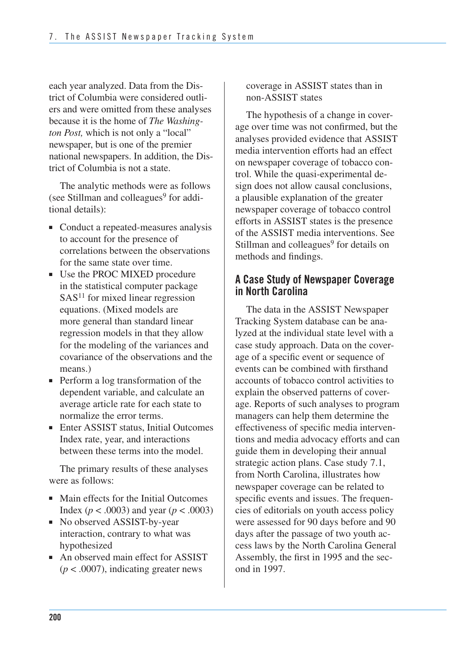each year analyzed. Data from the Dis- trict of Columbia were considered outli- ers and were omitted from these analyses because it is the home of *The Washing- ton Post,* which is not only a "local" newspaper, but is one of the premier national newspapers. In addition, the Dis-trict of Columbia is not a state.

The analytic methods were as follows (see Stillman and colleagues $9$  for additional details):

- Conduct a repeated-measures analysis to account for the presence of correlations between the observations for the same state over time.
- Use the PROC MIXED procedure in the statistical computer package SAS<sup>11</sup> for mixed linear regression equations. (Mixed models are more general than standard linear regression models in that they allow for the modeling of the variances and covariance of the observations and the means.)
- Perform a log transformation of the dependent variable, and calculate an average article rate for each state to normalize the error terms.
- Enter ASSIST status, Initial Outcomes Index rate, year, and interactions between these terms into the model.

The primary results of these analyses were as follows:

- Main effects for the Initial Outcomes Index ( $p < .0003$ ) and year ( $p < .0003$ )
- No observed ASSIST-by-year interaction, contrary to what was hypothesized
- An observed main effect for ASSIST  $(p < .0007)$ , indicating greater news

coverage in ASSIST states than in non-ASSIST states

The hypothesis of a change in coverage over time was not confirmed, but the analyses provided evidence that ASSIST media intervention efforts had an effect on newspaper coverage of tobacco control. While the quasi-experimental design does not allow causal conclusions, a plausible explanation of the greater newspaper coverage of tobacco control efforts in ASSIST states is the presence of the ASSIST media interventions. See Stillman and colleagues<sup>9</sup> for details on methods and findings.

#### **A Case Study of Newspaper Coverage in North Carolina**

The data in the ASSIST Newspaper Tracking System database can be analyzed at the individual state level with a case study approach. Data on the coverage of a specific event or sequence of events can be combined with firsthand accounts of tobacco control activities to explain the observed patterns of coverage. Reports of such analyses to program managers can help them determine the effectiveness of specific media interventions and media advocacy efforts and can guide them in developing their annual strategic action plans. Case study 7.1, from North Carolina, illustrates how newspaper coverage can be related to specific events and issues. The frequencies of editorials on youth access policy were assessed for 90 days before and 90 days after the passage of two youth access laws by the North Carolina General Assembly, the first in 1995 and the second in 1997.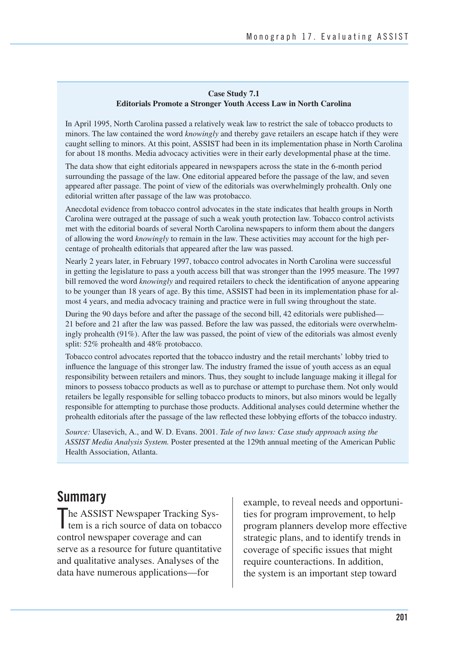#### **Case Study 7.1 Editorials Promote a Stronger Youth Access Law in North Carolina**

In April 1995, North Carolina passed a relatively weak law to restrict the sale of tobacco products to minors. The law contained the word *knowingly* and thereby gave retailers an escape hatch if they were caught selling to minors. At this point, ASSIST had been in its implementation phase in North Carolina for about 18 months. Media advocacy activities were in their early developmental phase at the time.

The data show that eight editorials appeared in newspapers across the state in the 6-month period surrounding the passage of the law. One editorial appeared before the passage of the law, and seven appeared after passage. The point of view of the editorials was overwhelmingly prohealth. Only one editorial written after passage of the law was protobacco.

Anecdotal evidence from tobacco control advocates in the state indicates that health groups in North Carolina were outraged at the passage of such a weak youth protection law. Tobacco control activists met with the editorial boards of several North Carolina newspapers to inform them about the dangers of allowing the word *knowingly* to remain in the law. These activities may account for the high percentage of prohealth editorials that appeared after the law was passed.

Nearly 2 years later, in February 1997, tobacco control advocates in North Carolina were successful in getting the legislature to pass a youth access bill that was stronger than the 1995 measure. The 1997 bill removed the word *knowingly* and required retailers to check the identification of anyone appearing to be younger than 18 years of age. By this time, ASSIST had been in its implementation phase for almost 4 years, and media advocacy training and practice were in full swing throughout the state.

During the 90 days before and after the passage of the second bill, 42 editorials were published— 21 before and 21 after the law was passed. Before the law was passed, the editorials were overwhelmingly prohealth (91%). After the law was passed, the point of view of the editorials was almost evenly split: 52% prohealth and 48% protobacco.

 Tobacco control advocates reported that the tobacco industry and the retail merchants' lobby tried to influence the language of this stronger law. The industry framed the issue of youth access as an equal responsibility between retailers and minors. Thus, they sought to include language making it illegal for minors to possess tobacco products as well as to purchase or attempt to purchase them. Not only would retailers be legally responsible for selling tobacco products to minors, but also minors would be legally responsible for attempting to purchase those products. Additional analyses could determine whether the prohealth editorials after the passage of the law reflected these lobbying efforts of the tobacco industry.

*Source:* Ulasevich, A., and W. D. Evans. 2001. *Tale of two laws: Case study approach using the ASSIST Media Analysis System.* Poster presented at the 129th annual meeting of the American Public Health Association, Atlanta.

### **Summary**

The ASSIST Newspaper Tracking Sys-<br>tem is a rich source of data on tobacc tem is a rich source of data on tobacco control newspaper coverage and can serve as a resource for future quantitative and qualitative analyses. Analyses of the data have numerous applications—for

example, to reveal needs and opportunities for program improvement, to help program planners develop more effective strategic plans, and to identify trends in coverage of specific issues that might require counteractions. In addition, the system is an important step toward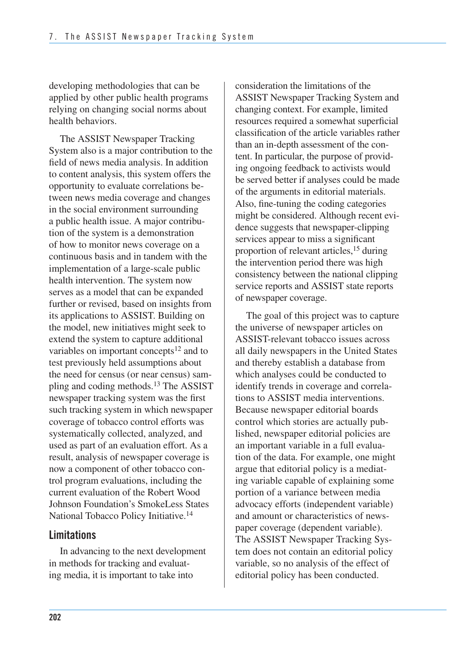developing methodologies that can be applied by other public health programs relying on changing social norms about health behaviors.

 The ASSIST Newspaper Tracking System also is a major contribution to the field of news media analysis. In addition to content analysis, this system offers the opportunity to evaluate correlations be- tween news media coverage and changes in the social environment surrounding a public health issue. A major contribu- tion of the system is a demonstration of how to monitor news coverage on a continuous basis and in tandem with the implementation of a large-scale public health intervention. The system now serves as a model that can be expanded further or revised, based on insights from its applications to ASSIST. Building on the model, new initiatives might seek to extend the system to capture additional variables on important concepts<sup>12</sup> and to test previously held assumptions about the need for census (or near census) sampling and coding methods.<sup>13</sup> The ASSIST newspaper tracking system was the first such tracking system in which newspaper coverage of tobacco control efforts was systematically collected, analyzed, and used as part of an evaluation effort. As a result, analysis of newspaper coverage is now a component of other tobacco con- trol program evaluations, including the current evaluation of the Robert Wood Johnson Foundation's SmokeLess States National Tobacco Policy Initiative.<sup>14</sup>

#### **Limitations**

 In advancing to the next development in methods for tracking and evaluat-ing media, it is important to take into

 consideration the limitations of the ASSIST Newspaper Tracking System and resources required a somewhat superficial classification of the article variables rather than an in-depth assessment of the con- tent. In particular, the purpose of provid- ing ongoing feedback to activists would be served better if analyses could be made of the arguments in editorial materials. Also, fine-tuning the coding categories might be considered. Although recent evi- dence suggests that newspaper-clipping services appear to miss a significant proportion of relevant articles,<sup>15</sup> during the intervention period there was high consistency between the national clipping service reports and ASSIST state reports of newspaper coverage. changing context. For example, limited

The goal of this project was to capture the universe of newspaper articles on ASSIST-relevant tobacco issues across all daily newspapers in the United States and thereby establish a database from which analyses could be conducted to identify trends in coverage and correlations to ASSIST media interventions. Because newspaper editorial boards control which stories are actually published, newspaper editorial policies are an important variable in a full evaluation of the data. For example, one might argue that editorial policy is a mediating variable capable of explaining some portion of a variance between media advocacy efforts (independent variable) and amount or characteristics of newspaper coverage (dependent variable). The ASSIST Newspaper Tracking System does not contain an editorial policy variable, so no analysis of the effect of editorial policy has been conducted.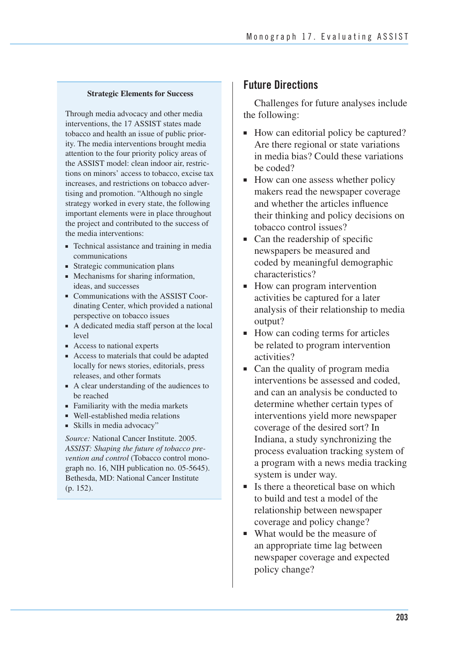#### **Strategic Elements for Success**

Through media advocacy and other media interventions, the 17 ASSIST states made tobacco and health an issue of public priority. The media interventions brought media attention to the four priority policy areas of the ASSIST model: clean indoor air, restrictions on minors' access to tobacco, excise tax increases, and restrictions on tobacco advertising and promotion. "Although no single strategy worked in every state, the following important elements were in place throughout the project and contributed to the success of the media interventions:

- ■ Technical assistance and training in media communications
- Strategic communication plans
- ■ Mechanisms for sharing information, ideas, and successes
- Communications with the ASSIST Coordinating Center, which provided a national perspective on tobacco issues
- A dedicated media staff person at the local level
- Access to national experts
- Access to materials that could be adapted locally for news stories, editorials, press releases, and other formats
- A clear understanding of the audiences to be reached
- Familiarity with the media markets
- Well-established media relations
- Skills in media advocacy"

*Source:* National Cancer Institute. 2005. *ASSIST: Shaping the future of tobacco prevention and control* (Tobacco control monograph no. 16, NIH publication no. 05-5645). Bethesda, MD: National Cancer Institute (p. 152).

#### **Future Directions**

Challenges for future analyses include the following:

- How can editorial policy be captured? Are there regional or state variations in media bias? Could these variations be coded?
- How can one assess whether policy makers read the newspaper coverage and whether the articles influence their thinking and policy decisions on tobacco control issues?
- Can the readership of specific newspapers be measured and coded by meaningful demographic characteristics?
- How can program intervention activities be captured for a later analysis of their relationship to media output?
- How can coding terms for articles be related to program intervention activities?
- Can the quality of program media interventions be assessed and coded, and can an analysis be conducted to determine whether certain types of interventions yield more newspaper coverage of the desired sort? In Indiana, a study synchronizing the process evaluation tracking system of a program with a news media tracking system is under way.
- Is there a theoretical base on which to build and test a model of the relationship between newspaper coverage and policy change?
- What would be the measure of an appropriate time lag between newspaper coverage and expected policy change?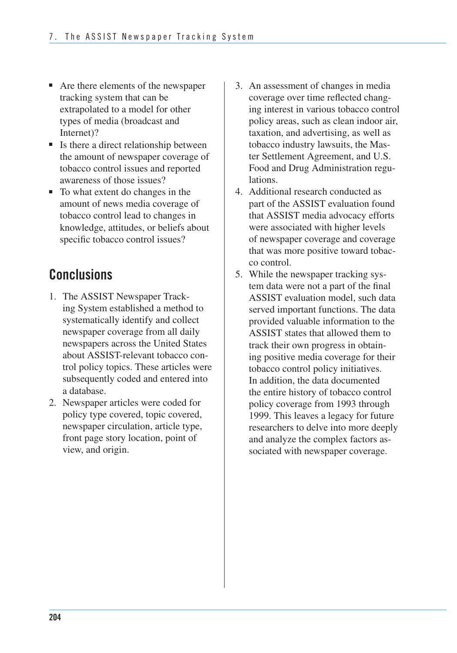- Are there elements of the newspaper tracking system that can be extrapolated to a model for other types of media (broadcast and Internet)?
- Is there a direct relationship between the amount of newspaper coverage of tobacco control issues and reported awareness of those issues?
- To what extent do changes in the amount of news media coverage of tobacco control lead to changes in knowledge, attitudes, or beliefs about specific tobacco control issues?

## **Conclusions**

- 1. The ASSIST Newspaper Tracking System established a method to systematically identify and collect newspaper coverage from all daily newspapers across the United States about ASSIST-relevant tobacco control policy topics. These articles were subsequently coded and entered into a database.
- 2. Newspaper articles were coded for policy type covered, topic covered, newspaper circulation, article type, front page story location, point of view, and origin.
- 3. An assessment of changes in media coverage over time reflected changing interest in various tobacco control policy areas, such as clean indoor air, taxation, and advertising, as well as tobacco industry lawsuits, the Master Settlement Agreement, and U.S. Food and Drug Administration regulations.
- 4. Additional research conducted as part of the ASSIST evaluation found that ASSIST media advocacy efforts were associated with higher levels of newspaper coverage and coverage that was more positive toward tobacco control.
- 5. While the newspaper tracking system data were not a part of the final ASSIST evaluation model, such data served important functions. The data provided valuable information to the ASSIST states that allowed them to track their own progress in obtaining positive media coverage for their tobacco control policy initiatives. In addition, the data documented the entire history of tobacco control policy coverage from 1993 through 1999. This leaves a legacy for future researchers to delve into more deeply and analyze the complex factors associated with newspaper coverage.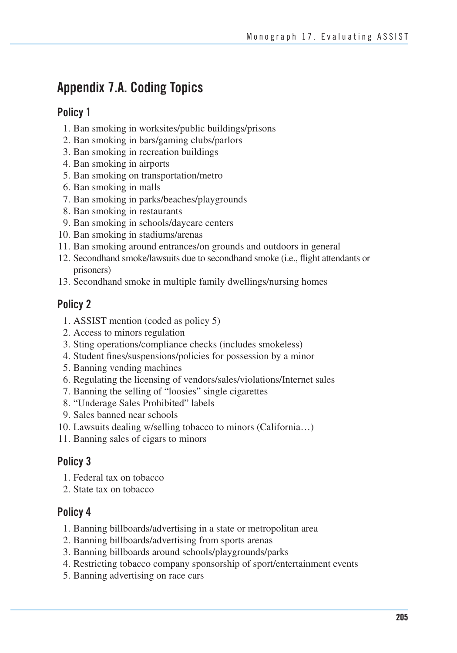## **Appendix 7.A. Coding Topics**

#### **Policy 1**

- 1. Ban smoking in worksites/public buildings/prisons
- 2. Ban smoking in bars/gaming clubs/parlors
- 3. Ban smoking in recreation buildings
- 4. Ban smoking in airports
- 5. Ban smoking on transportation/metro
- 6. Ban smoking in malls
- 7. Ban smoking in parks/beaches/playgrounds
- 8. Ban smoking in restaurants
- 9. Ban smoking in schools/daycare centers
- 10. Ban smoking in stadiums/arenas
- 11. Ban smoking around entrances/on grounds and outdoors in general
- 12. Secondhand smoke/lawsuits due to secondhand smoke (i.e., flight attendants or prisoners)
- 13. Secondhand smoke in multiple family dwellings/nursing homes

#### **Policy 2**

- 1. ASSIST mention (coded as policy 5)
- 2. Access to minors regulation
- 3. Sting operations/compliance checks (includes smokeless)
- 4. Student fines/suspensions/policies for possession by a minor
- 5. Banning vending machines
- 6. Regulating the licensing of vendors/sales/violations/Internet sales
- 7. Banning the selling of "loosies" single cigarettes
- 8. "Underage Sales Prohibited" labels
- 9. Sales banned near schools
- 10. Lawsuits dealing w/selling tobacco to minors (California…)
- 11. Banning sales of cigars to minors

### **Policy 3**

- 1. Federal tax on tobacco
- 2. State tax on tobacco

#### **Policy 4**

- 1. Banning billboards/advertising in a state or metropolitan area
- 2. Banning billboards/advertising from sports arenas
- 3. Banning billboards around schools/playgrounds/parks
- 4. Restricting tobacco company sponsorship of sport/entertainment events
- 5. Banning advertising on race cars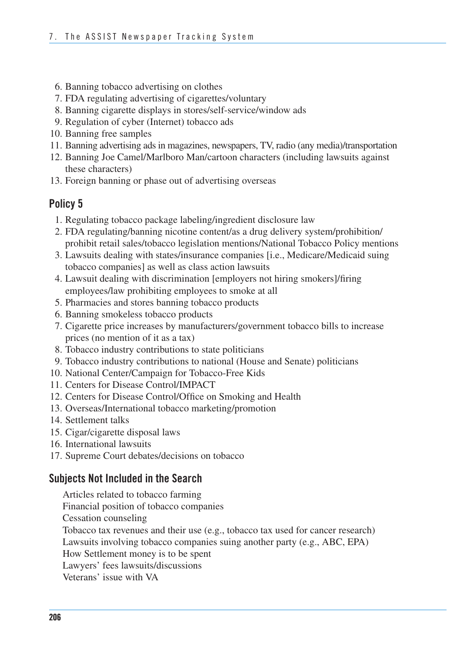- 6. Banning tobacco advertising on clothes
- 7. FDA regulating advertising of cigarettes/voluntary
- 8. Banning cigarette displays in stores/self-service/window ads
- 9. Regulation of cyber (Internet) tobacco ads
- 10. Banning free samples
- 11. Banning advertising ads in magazines, newspapers, TV, radio (any media)/transportation
- 12. Banning Joe Camel/Marlboro Man/cartoon characters (including lawsuits against these characters)
- 13. Foreign banning or phase out of advertising overseas

#### **Policy 5**

- 1. Regulating tobacco package labeling/ingredient disclosure law
- 2. FDA regulating/banning nicotine content/as a drug delivery system/prohibition/ prohibit retail sales/tobacco legislation mentions/National Tobacco Policy mentions
- 3. Lawsuits dealing with states/insurance companies [i.e., Medicare/Medicaid suing tobacco companies] as well as class action lawsuits
- 4. Lawsuit dealing with discrimination [employers not hiring smokers]/firing employees/law prohibiting employees to smoke at all
- 5. Pharmacies and stores banning tobacco products
- 6. Banning smokeless tobacco products
- 7. Cigarette price increases by manufacturers/government tobacco bills to increase prices (no mention of it as a tax)
- 8. Tobacco industry contributions to state politicians
- 9. Tobacco industry contributions to national (House and Senate) politicians
- 10. National Center/Campaign for Tobacco-Free Kids
- 11. Centers for Disease Control/IMPACT
- 12. Centers for Disease Control/Office on Smoking and Health
- 13. Overseas/International tobacco marketing/promotion
- 14. Settlement talks
- 15. Cigar/cigarette disposal laws
- 16. International lawsuits
- 17. Supreme Court debates/decisions on tobacco

#### **Subjects Not Included in the Search**

Articles related to tobacco farming

Financial position of tobacco companies

Cessation counseling

Tobacco tax revenues and their use (e.g., tobacco tax used for cancer research)

Lawsuits involving tobacco companies suing another party (e.g., ABC, EPA)

How Settlement money is to be spent

Lawyers' fees lawsuits/discussions

Veterans' issue with VA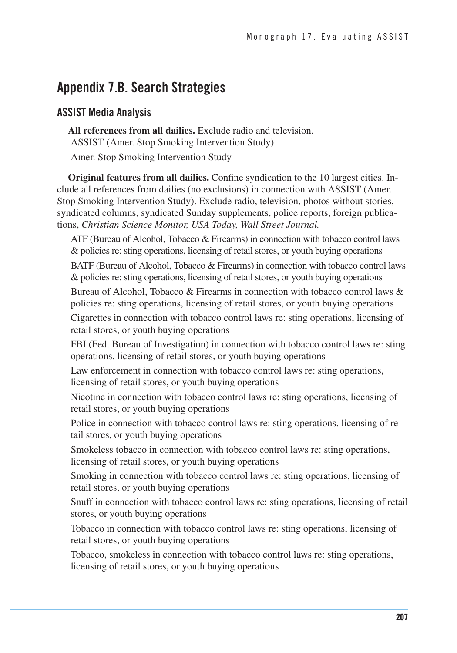### **Appendix 7.B. Search Strategies**

#### **ASSIST Media Analysis**

**All references from all dailies.** Exclude radio and television. ASSIST (Amer. Stop Smoking Intervention Study)

Amer. Stop Smoking Intervention Study

**Original features from all dailies.** Confine syndication to the 10 largest cities. Include all references from dailies (no exclusions) in connection with ASSIST (Amer. Stop Smoking Intervention Study). Exclude radio, television, photos without stories, syndicated columns, syndicated Sunday supplements, police reports, foreign publications, *Christian Science Monitor, USA Today, Wall Street Journal.* 

 ATF (Bureau of Alcohol, Tobacco & Firearms) in connection with tobacco control laws & policies re: sting operations, licensing of retail stores, or youth buying operations

 BATF (Bureau of Alcohol, Tobacco & Firearms) in connection with tobacco control laws & policies re: sting operations, licensing of retail stores, or youth buying operations

Bureau of Alcohol, Tobacco & Firearms in connection with tobacco control laws & policies re: sting operations, licensing of retail stores, or youth buying operations Cigarettes in connection with tobacco control laws re: sting operations, licensing of retail stores, or youth buying operations

FBI (Fed. Bureau of Investigation) in connection with tobacco control laws re: sting operations, licensing of retail stores, or youth buying operations

Law enforcement in connection with tobacco control laws re: sting operations, licensing of retail stores, or youth buying operations

Nicotine in connection with tobacco control laws re: sting operations, licensing of retail stores, or youth buying operations

Police in connection with tobacco control laws re: sting operations, licensing of retail stores, or youth buying operations

Smokeless tobacco in connection with tobacco control laws re: sting operations, licensing of retail stores, or youth buying operations

Smoking in connection with tobacco control laws re: sting operations, licensing of retail stores, or youth buying operations

Snuff in connection with tobacco control laws re: sting operations, licensing of retail stores, or youth buying operations

Tobacco in connection with tobacco control laws re: sting operations, licensing of retail stores, or youth buying operations

Tobacco, smokeless in connection with tobacco control laws re: sting operations, licensing of retail stores, or youth buying operations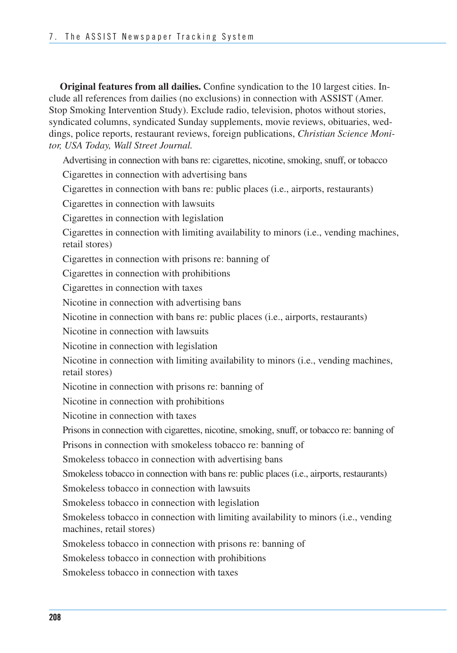**Original features from all dailies.** Confine syndication to the 10 largest cities. Include all references from dailies (no exclusions) in connection with ASSIST (Amer. Stop Smoking Intervention Study). Exclude radio, television, photos without stories, syndicated columns, syndicated Sunday supplements, movie reviews, obituaries, weddings, police reports, restaurant reviews, foreign publications, *Christian Science Monitor, USA Today, Wall Street Journal.* 

 Advertising in connection with bans re: cigarettes, nicotine, smoking, snuff, or tobacco Cigarettes in connection with advertising bans Cigarettes in connection with bans re: public places (i.e., airports, restaurants)

Cigarettes in connection with lawsuits

Cigarettes in connection with legislation

Cigarettes in connection with limiting availability to minors (i.e., vending machines, retail stores)

Cigarettes in connection with prisons re: banning of

Cigarettes in connection with prohibitions

Cigarettes in connection with taxes

Nicotine in connection with advertising bans

Nicotine in connection with bans re: public places (i.e., airports, restaurants)

Nicotine in connection with lawsuits

Nicotine in connection with legislation

Nicotine in connection with limiting availability to minors (i.e., vending machines, retail stores)

Nicotine in connection with prisons re: banning of

Nicotine in connection with prohibitions

Nicotine in connection with taxes

Prisons in connection with cigarettes, nicotine, smoking, snuff, or tobacco re: banning of

Prisons in connection with smokeless tobacco re: banning of

Smokeless tobacco in connection with advertising bans

Smokeless tobacco in connection with bans re: public places (i.e., airports, restaurants)

Smokeless tobacco in connection with lawsuits

Smokeless tobacco in connection with legislation

Smokeless tobacco in connection with limiting availability to minors (i.e., vending machines, retail stores)

Smokeless tobacco in connection with prisons re: banning of

Smokeless tobacco in connection with prohibitions

Smokeless tobacco in connection with taxes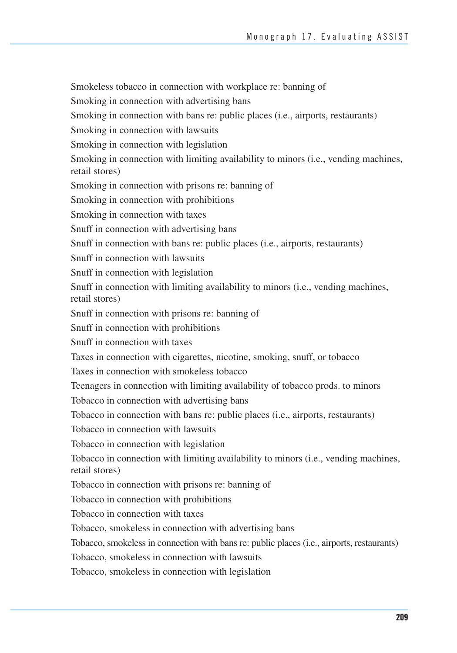Tobacco, smokeless in connection with bans re: public places (i.e., airports, restaurants) Smokeless tobacco in connection with workplace re: banning of Smoking in connection with advertising bans Smoking in connection with bans re: public places (i.e., airports, restaurants) Smoking in connection with lawsuits Smoking in connection with legislation Smoking in connection with limiting availability to minors (i.e., vending machines, retail stores) Smoking in connection with prisons re: banning of Smoking in connection with prohibitions Smoking in connection with taxes Snuff in connection with advertising bans Snuff in connection with bans re: public places (i.e., airports, restaurants) Snuff in connection with lawsuits Snuff in connection with legislation Snuff in connection with limiting availability to minors (i.e., vending machines, retail stores) Snuff in connection with prisons re: banning of Snuff in connection with prohibitions Snuff in connection with taxes Taxes in connection with cigarettes, nicotine, smoking, snuff, or tobacco Taxes in connection with smokeless tobacco Teenagers in connection with limiting availability of tobacco prods. to minors Tobacco in connection with advertising bans Tobacco in connection with bans re: public places (i.e., airports, restaurants) Tobacco in connection with lawsuits Tobacco in connection with legislation Tobacco in connection with limiting availability to minors (i.e., vending machines, retail stores) Tobacco in connection with prisons re: banning of Tobacco in connection with prohibitions Tobacco in connection with taxes Tobacco, smokeless in connection with advertising bans Tobacco, smokeless in connection with lawsuits Tobacco, smokeless in connection with legislation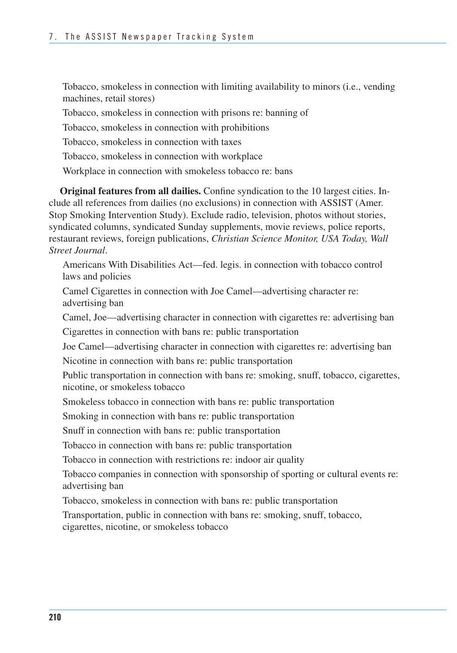Tobacco, smokeless in connection with limiting availability to minors (i.e., vending machines, retail stores)

Tobacco, smokeless in connection with prisons re: banning of

Tobacco, smokeless in connection with prohibitions

Tobacco, smokeless in connection with taxes

Tobacco, smokeless in connection with workplace

Workplace in connection with smokeless tobacco re: bans

**Original features from all dailies.** Confine syndication to the 10 largest cities. Include all references from dailies (no exclusions) in connection with ASSIST (Amer. Stop Smoking Intervention Study). Exclude radio, television, photos without stories, syndicated columns, syndicated Sunday supplements, movie reviews, police reports, restaurant reviews, foreign publications, *Christian Science Monitor, USA Today, Wall Street Journal*.

Americans With Disabilities Act—fed. legis. in connection with tobacco control laws and policies

Camel Cigarettes in connection with Joe Camel—advertising character re: advertising ban

Camel, Joe—advertising character in connection with cigarettes re: advertising ban

Cigarettes in connection with bans re: public transportation

Joe Camel—advertising character in connection with cigarettes re: advertising ban

Nicotine in connection with bans re: public transportation

Public transportation in connection with bans re: smoking, snuff, tobacco, cigarettes, nicotine, or smokeless tobacco

Smokeless tobacco in connection with bans re: public transportation

Smoking in connection with bans re: public transportation

Snuff in connection with bans re: public transportation

Tobacco in connection with bans re: public transportation

Tobacco in connection with restrictions re: indoor air quality

Tobacco companies in connection with sponsorship of sporting or cultural events re: advertising ban

Tobacco, smokeless in connection with bans re: public transportation

Transportation, public in connection with bans re: smoking, snuff, tobacco, cigarettes, nicotine, or smokeless tobacco